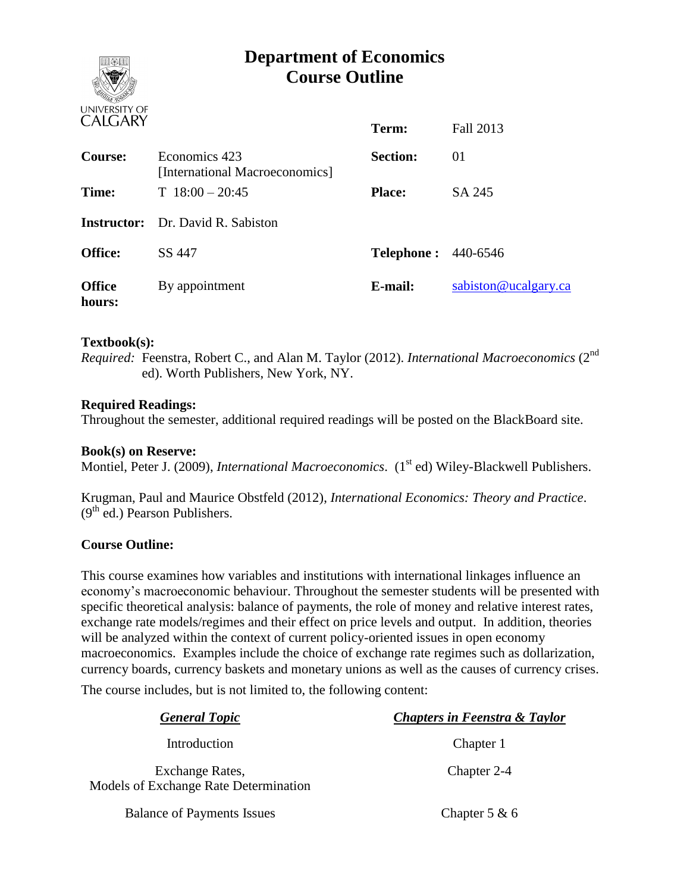# **Department of Economics Course Outline**

**Term:** Fall 2013



|                         |                                                 | Term:                      | Fall 2013            |
|-------------------------|-------------------------------------------------|----------------------------|----------------------|
| <b>Course:</b>          | Economics 423<br>[International Macroeconomics] | <b>Section:</b>            | 01                   |
| Time:                   | $T$ 18:00 - 20:45                               | <b>Place:</b>              | SA 245               |
|                         | <b>Instructor:</b> Dr. David R. Sabiston        |                            |                      |
| <b>Office:</b>          | SS 447                                          | <b>Telephone: 440-6546</b> |                      |
| <b>Office</b><br>hours: | By appointment                                  | E-mail:                    | sabiston@ucalgary.ca |

## **Textbook(s):**

*Required:* Feenstra, Robert C., and Alan M. Taylor (2012). *International Macroeconomics* (2nd ed). Worth Publishers, New York, NY.

#### **Required Readings:**

Throughout the semester, additional required readings will be posted on the BlackBoard site.

#### **Book(s) on Reserve:**

Montiel, Peter J. (2009), *International Macroeconomics*. (1<sup>st</sup> ed) Wiley-Blackwell Publishers.

Krugman, Paul and Maurice Obstfeld (2012), *International Economics: Theory and Practice*.  $(9<sup>th</sup>$  ed.) Pearson Publishers.

#### **Course Outline:**

This course examines how variables and institutions with international linkages influence an economy's macroeconomic behaviour. Throughout the semester students will be presented with specific theoretical analysis: balance of payments, the role of money and relative interest rates, exchange rate models/regimes and their effect on price levels and output. In addition, theories will be analyzed within the context of current policy-oriented issues in open economy macroeconomics. Examples include the choice of exchange rate regimes such as dollarization, currency boards, currency baskets and monetary unions as well as the causes of currency crises.

The course includes, but is not limited to, the following content:

| <b>General Topic</b>                                            | <b>Chapters in Feenstra &amp; Taylor</b> |
|-----------------------------------------------------------------|------------------------------------------|
| Introduction                                                    | Chapter 1                                |
| Exchange Rates,<br><b>Models of Exchange Rate Determination</b> | Chapter 2-4                              |
| <b>Balance of Payments Issues</b>                               | Chapter 5 $\&$ 6                         |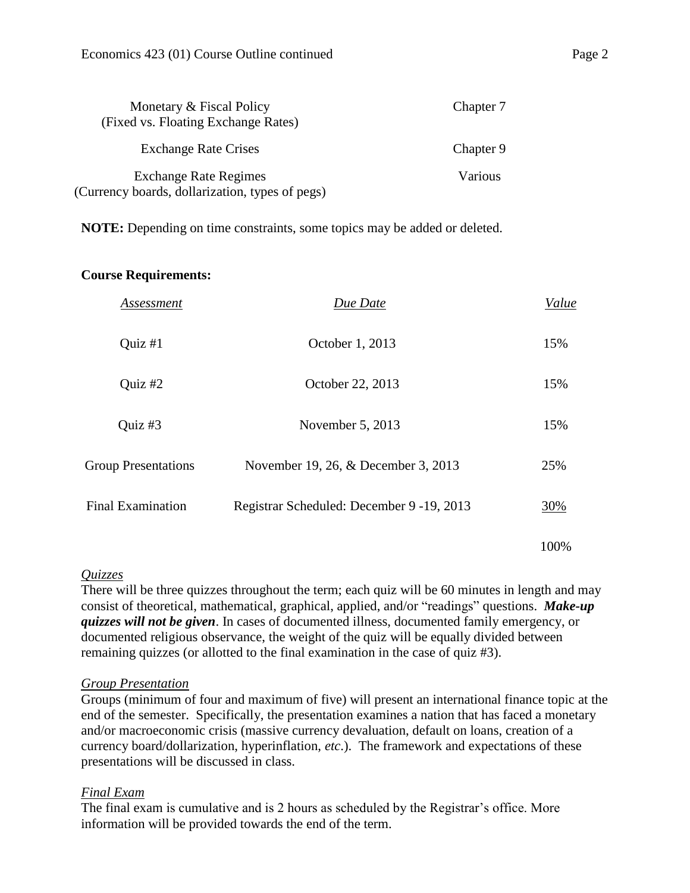| Monetary & Fiscal Policy<br>(Fixed vs. Floating Exchange Rates)                 | Chapter 7 |  |
|---------------------------------------------------------------------------------|-----------|--|
| <b>Exchange Rate Crises</b>                                                     | Chapter 9 |  |
| <b>Exchange Rate Regimes</b><br>(Currency boards, dollarization, types of pegs) | Various   |  |

**NOTE:** Depending on time constraints, some topics may be added or deleted.

#### **Course Requirements:**

| Assessment                 | Due Date                                   | Value |
|----------------------------|--------------------------------------------|-------|
| Quiz $#1$                  | October 1, 2013                            | 15%   |
| Quiz #2                    | October 22, 2013                           | 15%   |
| Quiz #3                    | November 5, 2013                           | 15%   |
| <b>Group Presentations</b> | November 19, 26, & December 3, 2013        | 25%   |
| <b>Final Examination</b>   | Registrar Scheduled: December 9 - 19, 2013 | 30%   |
|                            |                                            | 100%  |

#### *Quizzes*

There will be three quizzes throughout the term; each quiz will be 60 minutes in length and may consist of theoretical, mathematical, graphical, applied, and/or "readings" questions. *Make-up quizzes will not be given*. In cases of documented illness, documented family emergency, or documented religious observance, the weight of the quiz will be equally divided between remaining quizzes (or allotted to the final examination in the case of quiz #3).

#### *Group Presentation*

Groups (minimum of four and maximum of five) will present an international finance topic at the end of the semester. Specifically, the presentation examines a nation that has faced a monetary and/or macroeconomic crisis (massive currency devaluation, default on loans, creation of a currency board/dollarization, hyperinflation, *etc*.). The framework and expectations of these presentations will be discussed in class.

#### *Final Exam*

The final exam is cumulative and is 2 hours as scheduled by the Registrar's office. More information will be provided towards the end of the term.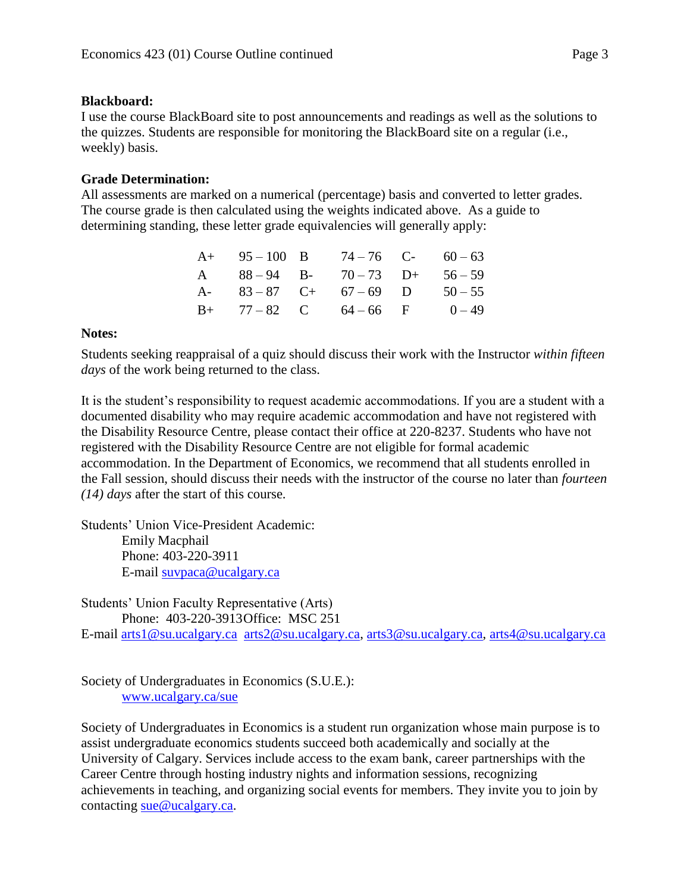## **Blackboard:**

I use the course BlackBoard site to post announcements and readings as well as the solutions to the quizzes. Students are responsible for monitoring the BlackBoard site on a regular (i.e., weekly) basis.

## **Grade Determination:**

All assessments are marked on a numerical (percentage) basis and converted to letter grades. The course grade is then calculated using the weights indicated above. As a guide to determining standing, these letter grade equivalencies will generally apply:

|  | $A+ 95-100 \quad B$ $74-76 \quad C- 60-63$ |           |
|--|--------------------------------------------|-----------|
|  | A $88-94$ B- $70-73$ D+ $56-59$            |           |
|  | A- $83-87$ C+ $67-69$ D                    | $50 - 55$ |
|  | $B+$ 77 – 82 C 64 – 66 F 0 – 49            |           |

### **Notes:**

Students seeking reappraisal of a quiz should discuss their work with the Instructor *within fifteen days* of the work being returned to the class.

It is the student's responsibility to request academic accommodations. If you are a student with a documented disability who may require academic accommodation and have not registered with the Disability Resource Centre, please contact their office at 220-8237. Students who have not registered with the Disability Resource Centre are not eligible for formal academic accommodation. In the Department of Economics, we recommend that all students enrolled in the Fall session, should discuss their needs with the instructor of the course no later than *fourteen (14) days* after the start of this course.

Students' Union Vice-President Academic: Emily Macphail Phone: 403-220-3911 E-mail [suvpaca@ucalgary.ca](mailto:subpaca@ucalgary.ca)

Students' Union Faculty Representative (Arts) Phone: 403-220-3913Office: MSC 251 E-mail [arts1@su.ucalgary.ca](mailto:arts1@su.ucalgary.ca) [arts2@su.ucalgary.ca,](mailto:arts2@su.ucalgary.ca) [arts3@su.ucalgary.ca,](mailto:arts3@su.ucalgary.ca) [arts4@su.ucalgary.ca](mailto:arts4@su.ucalgary.ca)

Society of Undergraduates in Economics (S.U.E.): [www.ucalgary.ca/sue](http://www.fp.ucalgary.ca/econ)

Society of Undergraduates in Economics is a student run organization whose main purpose is to assist undergraduate economics students succeed both academically and socially at the University of Calgary. Services include access to the exam bank, career partnerships with the Career Centre through hosting industry nights and information sessions, recognizing achievements in teaching, and organizing social events for members. They invite you to join by contacting [sue@ucalgary.ca.](mailto:sue@ucalgary.ca)